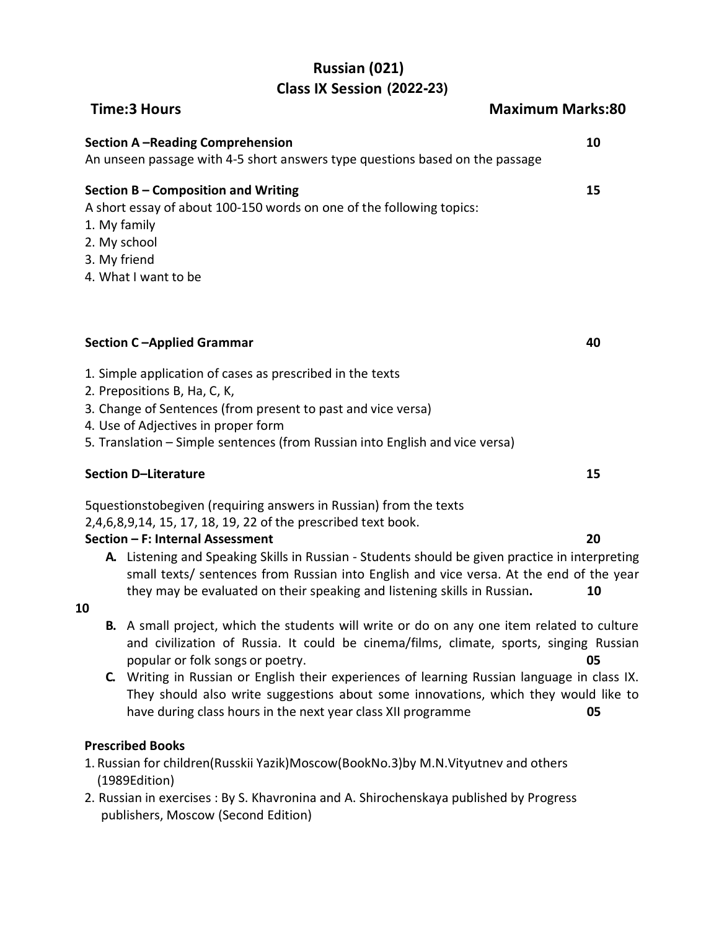# **Russian (021) Class IX Session 2020-21 (2022-23)**

| <b>Time:3 Hours</b>                                                                                                                         | <b>Maximum Marks:80</b> |
|---------------------------------------------------------------------------------------------------------------------------------------------|-------------------------|
| <b>Section A-Reading Comprehension</b><br>An unseen passage with 4-5 short answers type questions based on the passage                      | 10                      |
| Section B – Composition and Writing<br>A short essay of about 100-150 words on one of the following topics:<br>1. My family<br>2. My school | 15                      |

- 3. My friend
- 4. What I want to be

## **Section C –Applied Grammar 40**

- 1. Simple application of cases as prescribed in the texts
- 2. Prepositions B, Ha, C, K,
- 3. Change of Sentences (from present to past and vice versa)
- 4. Use of Adjectives in proper form
- 5. Translation Simple sentences (from Russian into English and vice versa)

## **Section D–Literature 15**

5questionstobegiven (requiring answers in Russian) from the texts

2,4,6,8,9,14, 15, 17, 18, 19, 22 of the prescribed text book.

## **Section – F: Internal Assessment 20**

**A.** Listening and Speaking Skills in Russian - Students should be given practice in interpreting small texts/ sentences from Russian into English and vice versa. At the end of the year they may be evaluated on their speaking and listening skills in Russian**. 10**

### **10**

- **B.** A small project, which the students will write or do on any one item related to culture and civilization of Russia. It could be cinema/films, climate, sports, singing Russian popular or folk songs or poetry. **05**
- **C.** Writing in Russian or English their experiences of learning Russian language in class IX. They should also write suggestions about some innovations, which they would like to have during class hours in the next year class XII programme **05**

## **Prescribed Books**

- 1. Russian for children(Russkii Yazik)Moscow(BookNo.3)by M.N.Vityutnev and others (1989Edition)
- 2. Russian in exercises : By S. Khavronina and A. Shirochenskaya published by Progress publishers, Moscow (Second Edition)